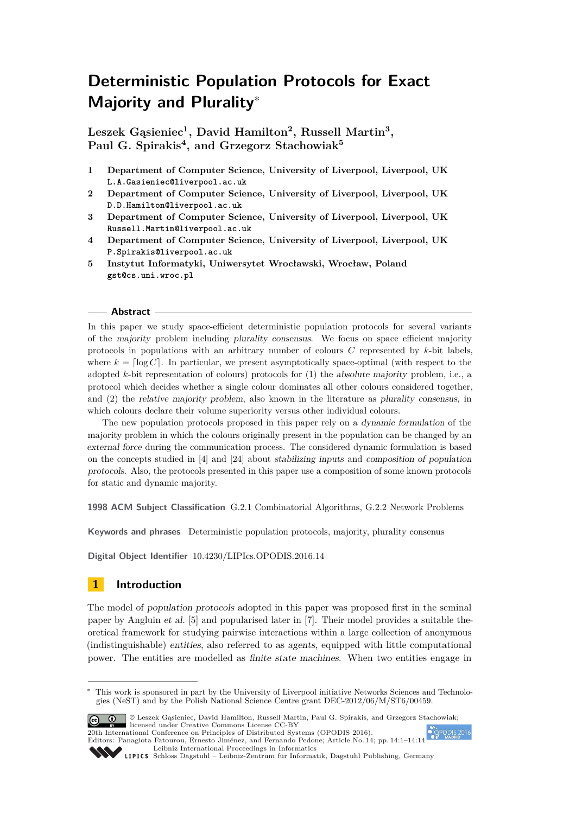# **Deterministic Population Protocols for Exact Majority and Plurality**<sup>∗</sup>

**Leszek Gąsieniec<sup>1</sup> , David Hamilton<sup>2</sup> , Russell Martin<sup>3</sup> , Paul G. Spirakis<sup>4</sup> , and Grzegorz Stachowiak<sup>5</sup>**

- **1 Department of Computer Science, University of Liverpool, Liverpool, UK L.A.Gasieniec@liverpool.ac.uk**
- **2 Department of Computer Science, University of Liverpool, Liverpool, UK D.D.Hamilton@liverpool.ac.uk**
- **3 Department of Computer Science, University of Liverpool, Liverpool, UK Russell.Martin@liverpool.ac.uk**
- **4 Department of Computer Science, University of Liverpool, Liverpool, UK P.Spirakis@liverpool.ac.uk**
- **5 Instytut Informatyki, Uniwersytet Wrocławski, Wrocław, Poland gst@cs.uni.wroc.pl**

## **Abstract**

In this paper we study space-efficient deterministic population protocols for several variants of the majority problem including plurality consensus. We focus on space efficient majority protocols in populations with an arbitrary number of colours *C* represented by *k*-bit labels, where  $k = \log C$ . In particular, we present asymptotically space-optimal (with respect to the adopted *k*-bit representation of colours) protocols for (1) the absolute majority problem, i.e., a protocol which decides whether a single colour dominates all other colours considered together, and (2) the relative majority problem, also known in the literature as plurality consensus, in which colours declare their volume superiority versus other individual colours.

The new population protocols proposed in this paper rely on a dynamic formulation of the majority problem in which the colours originally present in the population can be changed by an external force during the communication process. The considered dynamic formulation is based on the concepts studied in [\[4\]](#page-12-0) and [\[24\]](#page-13-0) about stabilizing inputs and composition of population protocols. Also, the protocols presented in this paper use a composition of some known protocols for static and dynamic majority.

**1998 ACM Subject Classification** G.2.1 Combinatorial Algorithms, G.2.2 Network Problems

**Keywords and phrases** Deterministic population protocols, majority, plurality consenus

**Digital Object Identifier** [10.4230/LIPIcs.OPODIS.2016.14](http://dx.doi.org/10.4230/LIPIcs.OPODIS.2016.14)

# **1 Introduction**

The model of population protocols adopted in this paper was proposed first in the seminal paper by Angluin et al. [\[5\]](#page-12-1) and popularised later in [\[7\]](#page-12-2). Their model provides a suitable theoretical framework for studying pairwise interactions within a large collection of anonymous (indistinguishable) entities, also referred to as agents, equipped with little computational power. The entities are modelled as finite state machines. When two entities engage in

<sup>∗</sup> This work is sponsored in part by the University of Liverpool initiative Networks Sciences and Technologies (NeST) and by the Polish National Science Centre grant DEC-2012/06/M/ST6/00459.



© Leszek Gąsieniec, David Hamilton, Russell Martin, Paul G. Spirakis, and Grzegorz Stachowiak; licensed under Creative Commons License CC-BY

20th International Conference on Principles of Distributed Systems (OPODIS 2016). Editors: Panagiota Fatourou, Ernesto Jiménez, and Fernando Pedone; Article No. 14; pp. 14:1–14[:14](#page-13-1) [Leibniz International Proceedings in Informatics](http://www.dagstuhl.de/lipics/)



[Schloss Dagstuhl – Leibniz-Zentrum für Informatik, Dagstuhl Publishing, Germany](http://www.dagstuhl.de)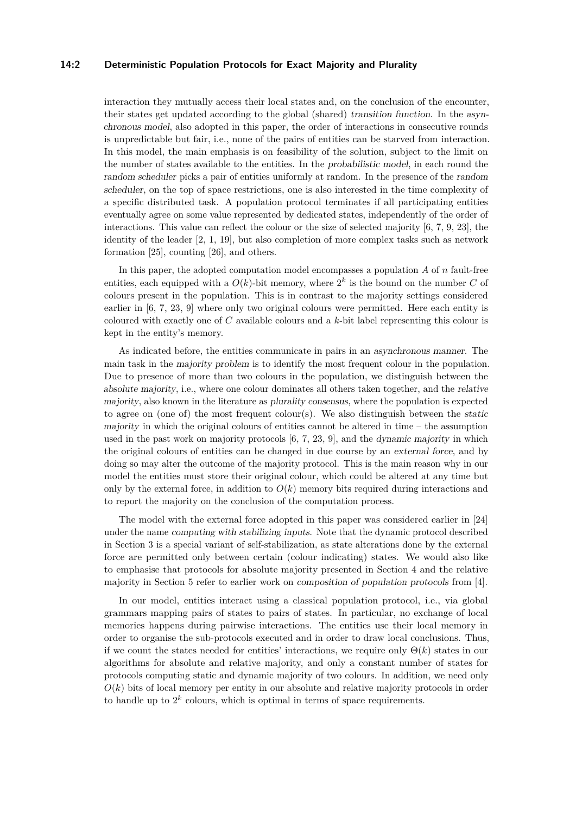#### **14:2 Deterministic Population Protocols for Exact Majority and Plurality**

interaction they mutually access their local states and, on the conclusion of the encounter, their states get updated according to the global (shared) transition function. In the asynchronous model, also adopted in this paper, the order of interactions in consecutive rounds is unpredictable but fair, i.e., none of the pairs of entities can be starved from interaction. In this model, the main emphasis is on feasibility of the solution, subject to the limit on the number of states available to the entities. In the probabilistic model, in each round the random scheduler picks a pair of entities uniformly at random. In the presence of the random scheduler, on the top of space restrictions, one is also interested in the time complexity of a specific distributed task. A population protocol terminates if all participating entities eventually agree on some value represented by dedicated states, independently of the order of interactions. This value can reflect the colour or the size of selected majority [\[6,](#page-12-3) [7,](#page-12-2) [9,](#page-12-4) [23\]](#page-13-2), the identity of the leader [\[2,](#page-12-5) [1,](#page-12-6) [19\]](#page-13-3), but also completion of more complex tasks such as network formation [\[25\]](#page-13-4), counting [\[26\]](#page-13-5), and others.

In this paper, the adopted computation model encompasses a population *A* of *n* fault-free entities, each equipped with a  $O(k)$ -bit memory, where  $2<sup>k</sup>$  is the bound on the number *C* of colours present in the population. This is in contrast to the majority settings considered earlier in [\[6,](#page-12-3) [7,](#page-12-2) [23,](#page-13-2) [9\]](#page-12-4) where only two original colours were permitted. Here each entity is coloured with exactly one of *C* available colours and a *k*-bit label representing this colour is kept in the entity's memory.

As indicated before, the entities communicate in pairs in an asynchronous manner. The main task in the majority problem is to identify the most frequent colour in the population. Due to presence of more than two colours in the population, we distinguish between the absolute majority, i.e., where one colour dominates all others taken together, and the relative majority, also known in the literature as plurality consensus, where the population is expected to agree on (one of) the most frequent colour(s). We also distinguish between the static majority in which the original colours of entities cannot be altered in time  $-$  the assumption used in the past work on majority protocols [\[6,](#page-12-3) [7,](#page-12-2) [23,](#page-13-2) [9\]](#page-12-4), and the dynamic majority in which the original colours of entities can be changed in due course by an external force, and by doing so may alter the outcome of the majority protocol. This is the main reason why in our model the entities must store their original colour, which could be altered at any time but only by the external force, in addition to  $O(k)$  memory bits required during interactions and to report the majority on the conclusion of the computation process.

The model with the external force adopted in this paper was considered earlier in [\[24\]](#page-13-0) under the name computing with stabilizing inputs. Note that the dynamic protocol described in Section [3](#page-5-0) is a special variant of self-stabilization, as state alterations done by the external force are permitted only between certain (colour indicating) states. We would also like to emphasise that protocols for absolute majority presented in Section [4](#page-7-0) and the relative majority in Section [5](#page-9-0) refer to earlier work on composition of population protocols from [\[4\]](#page-12-0).

In our model, entities interact using a classical population protocol, i.e., via global grammars mapping pairs of states to pairs of states. In particular, no exchange of local memories happens during pairwise interactions. The entities use their local memory in order to organise the sub-protocols executed and in order to draw local conclusions. Thus, if we count the states needed for entities' interactions, we require only  $\Theta(k)$  states in our algorithms for absolute and relative majority, and only a constant number of states for protocols computing static and dynamic majority of two colours. In addition, we need only  $O(k)$  bits of local memory per entity in our absolute and relative majority protocols in order to handle up to  $2^k$  colours, which is optimal in terms of space requirements.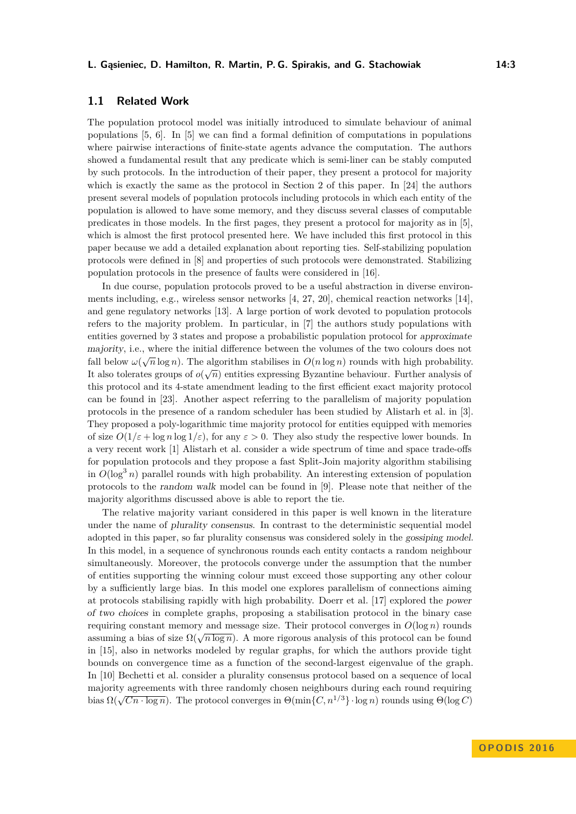# **1.1 Related Work**

The population protocol model was initially introduced to simulate behaviour of animal populations [\[5,](#page-12-1) [6\]](#page-12-3). In [\[5\]](#page-12-1) we can find a formal definition of computations in populations where pairwise interactions of finite-state agents advance the computation. The authors showed a fundamental result that any predicate which is semi-liner can be stably computed by such protocols. In the introduction of their paper, they present a protocol for majority which is exactly the same as the protocol in Section [2](#page-3-0) of this paper. In [\[24\]](#page-13-0) the authors present several models of population protocols including protocols in which each entity of the population is allowed to have some memory, and they discuss several classes of computable predicates in those models. In the first pages, they present a protocol for majority as in [\[5\]](#page-12-1), which is almost the first protocol presented here. We have included this first protocol in this paper because we add a detailed explanation about reporting ties. Self-stabilizing population protocols were defined in [\[8\]](#page-12-7) and properties of such protocols were demonstrated. Stabilizing population protocols in the presence of faults were considered in [\[16\]](#page-12-8).

In due course, population protocols proved to be a useful abstraction in diverse environments including, e.g., wireless sensor networks [\[4,](#page-12-0) [27,](#page-13-6) [20\]](#page-13-7), chemical reaction networks [\[14\]](#page-12-9), and gene regulatory networks [\[13\]](#page-12-10). A large portion of work devoted to population protocols refers to the majority problem. In particular, in [\[7\]](#page-12-2) the authors study populations with entities governed by 3 states and propose a probabilistic population protocol for approximate majority, i.e., where the initial difference between the volumes of the two colours does not fall below  $\omega(\sqrt{n}\log n)$ . The algorithm stabilises in  $O(n\log n)$  rounds with high probability. It also tolerates groups of  $o(\sqrt{n})$  entities expressing Byzantine behaviour. Further analysis of this protocol and its 4-state amendment leading to the first efficient exact majority protocol can be found in [\[23\]](#page-13-2). Another aspect referring to the parallelism of majority population protocols in the presence of a random scheduler has been studied by Alistarh et al. in [\[3\]](#page-12-11). They proposed a poly-logarithmic time majority protocol for entities equipped with memories of size  $O(1/\varepsilon + \log n \log 1/\varepsilon)$ , for any  $\varepsilon > 0$ . They also study the respective lower bounds. In a very recent work [\[1\]](#page-12-6) Alistarh et al. consider a wide spectrum of time and space trade-offs for population protocols and they propose a fast Split-Join majority algorithm stabilising in  $O(\log^3 n)$  parallel rounds with high probability. An interesting extension of population protocols to the random walk model can be found in [\[9\]](#page-12-4). Please note that neither of the majority algorithms discussed above is able to report the tie.

The relative majority variant considered in this paper is well known in the literature under the name of plurality consensus. In contrast to the deterministic sequential model adopted in this paper, so far plurality consensus was considered solely in the gossiping model. In this model, in a sequence of synchronous rounds each entity contacts a random neighbour simultaneously. Moreover, the protocols converge under the assumption that the number of entities supporting the winning colour must exceed those supporting any other colour by a sufficiently large bias. In this model one explores parallelism of connections aiming at protocols stabilising rapidly with high probability. Doerr et al. [\[17\]](#page-12-12) explored the power of two choices in complete graphs, proposing a stabilisation protocol in the binary case requiring constant memory and message size. Their protocol converges in  $O(\log n)$  rounds  $\alpha$  and  $\alpha$  is a finite protocol converges in  $\mathcal{O}(\log n)$  rounds assuming a bias of size  $\Omega(\sqrt{n \log n})$ . A more rigorous analysis of this protocol can be found in [\[15\]](#page-12-13), also in networks modeled by regular graphs, for which the authors provide tight bounds on convergence time as a function of the second-largest eigenvalue of the graph. In [\[10\]](#page-12-14) Bechetti et al. consider a plurality consensus protocol based on a sequence of local majority agreements with three randomly chosen neighbours during each round requiring bias  $\Omega(\sqrt{Cn \cdot \log n})$ . The protocol converges in  $\Theta(\min\{C, n^{1/3}\} \cdot \log n)$  rounds using  $\Theta(\log C)$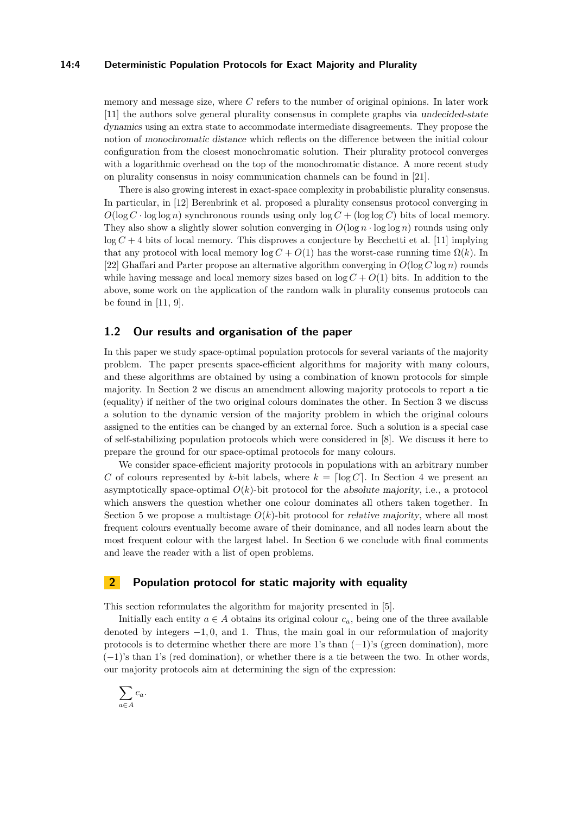#### **14:4 Deterministic Population Protocols for Exact Majority and Plurality**

memory and message size, where *C* refers to the number of original opinions. In later work [\[11\]](#page-12-15) the authors solve general plurality consensus in complete graphs via undecided-state dynamics using an extra state to accommodate intermediate disagreements. They propose the notion of monochromatic distance which reflects on the difference between the initial colour configuration from the closest monochromatic solution. Their plurality protocol converges with a logarithmic overhead on the top of the monochromatic distance. A more recent study on plurality consensus in noisy communication channels can be found in [\[21\]](#page-13-8).

There is also growing interest in exact-space complexity in probabilistic plurality consensus. In particular, in [\[12\]](#page-12-16) Berenbrink et al. proposed a plurality consensus protocol converging in  $O(\log C \cdot \log \log n)$  synchronous rounds using only  $\log C + (\log \log C)$  bits of local memory. They also show a slightly slower solution converging in  $O(\log n \cdot \log \log n)$  rounds using only  $\log C + 4$  bits of local memory. This disproves a conjecture by Becchetti et al. [\[11\]](#page-12-15) implying that any protocol with local memory  $\log C + O(1)$  has the worst-case running time  $\Omega(k)$ . In [\[22\]](#page-13-9) Ghaffari and Parter propose an alternative algorithm converging in *O*(log *C* log *n*) rounds while having message and local memory sizes based on  $\log C + O(1)$  bits. In addition to the above, some work on the application of the random walk in plurality consenus protocols can be found in [\[11,](#page-12-15) [9\]](#page-12-4).

## **1.2 Our results and organisation of the paper**

In this paper we study space-optimal population protocols for several variants of the majority problem. The paper presents space-efficient algorithms for majority with many colours, and these algorithms are obtained by using a combination of known protocols for simple majority. In Section [2](#page-3-0) we discus an amendment allowing majority protocols to report a tie (equality) if neither of the two original colours dominates the other. In Section [3](#page-5-0) we discuss a solution to the dynamic version of the majority problem in which the original colours assigned to the entities can be changed by an external force. Such a solution is a special case of self-stabilizing population protocols which were considered in [\[8\]](#page-12-7). We discuss it here to prepare the ground for our space-optimal protocols for many colours.

We consider space-efficient majority protocols in populations with an arbitrary number *C* of colours represented by *k*-bit labels, where  $k = \lceil \log C \rceil$ . In Section [4](#page-7-0) we present an asymptotically space-optimal  $O(k)$ -bit protocol for the absolute majority, i.e., a protocol which answers the question whether one colour dominates all others taken together. In Section [5](#page-9-0) we propose a multistage  $O(k)$ -bit protocol for *relative majority*, where all most frequent colours eventually become aware of their dominance, and all nodes learn about the most frequent colour with the largest label. In Section [6](#page-11-0) we conclude with final comments and leave the reader with a list of open problems.

## <span id="page-3-0"></span>**2 Population protocol for static majority with equality**

This section reformulates the algorithm for majority presented in [\[5\]](#page-12-1).

Initially each entity  $a \in A$  obtains its original colour  $c_a$ , being one of the three available denoted by integers −1*,* 0, and 1. Thus, the main goal in our reformulation of majority protocols is to determine whether there are more 1's than  $(-1)$ 's (green domination), more (−1)'s than 1's (red domination), or whether there is a tie between the two. In other words, our majority protocols aim at determining the sign of the expression:

$$
\sum_{a\in A}c_a.
$$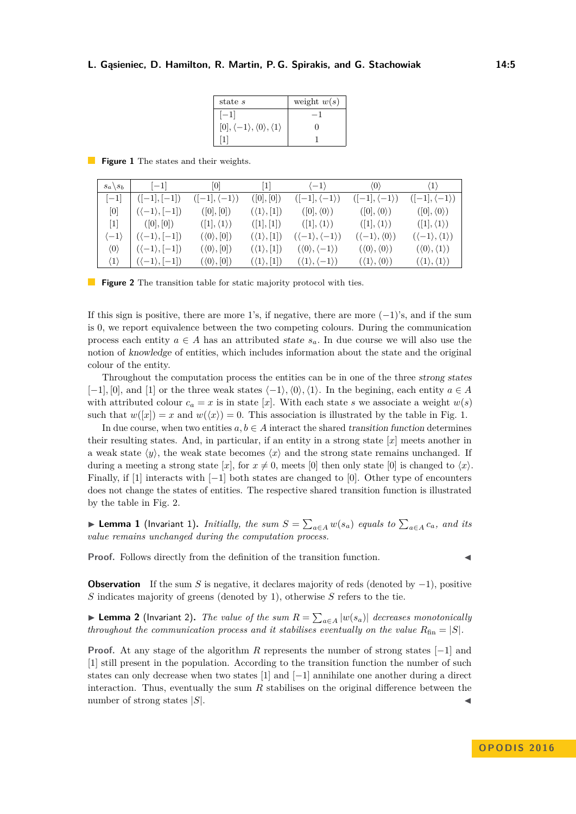#### <span id="page-4-0"></span>**L. Gąsieniec, D. Hamilton, R. Martin, P. G. Spirakis, and G. Stachowiak 14:5**

| state s                                                         | weight $w(s)$ |
|-----------------------------------------------------------------|---------------|
| $ -1 $                                                          |               |
| $[0], \langle -1 \rangle, \langle 0 \rangle, \langle 1 \rangle$ |               |
|                                                                 |               |

**Figure 1** The states and their weights.

<span id="page-4-1"></span>

| $s_a \backslash s_b$ | $ -1 $                       | 0                            | 1                          | $\langle -1 \rangle$                       | $\langle 0 \rangle$                       | $\langle 1 \rangle$                       |
|----------------------|------------------------------|------------------------------|----------------------------|--------------------------------------------|-------------------------------------------|-------------------------------------------|
| $ -1 $               | $([-1], [-1])$               | $([-1], \langle -1 \rangle)$ | ([0],[0])                  | $([-1], \langle -1 \rangle)$               | $([-1], \langle -1 \rangle)$              | $([-1], \langle -1 \rangle)$              |
| 0                    | $(\langle -1 \rangle, [-1])$ | ([0],[0])                    | $(\langle 1 \rangle, [1])$ | $([0], \langle 0 \rangle)$                 | $([0], \langle 0 \rangle)$                | $([0], \langle 0 \rangle)$                |
| 1                    | ([0],[0])                    | $([1], \langle 1 \rangle)$   | ([1], [1])                 | $([1], \langle 1 \rangle)$                 | $([1], \langle 1 \rangle)$                | $([1], \langle 1 \rangle)$                |
| $\langle -1 \rangle$ | $(\langle -1 \rangle, [-1])$ | $(\langle 0 \rangle, [0])$   | $(\langle 1 \rangle,  1 )$ | $(\langle -1 \rangle, \langle -1 \rangle)$ | $(\langle -1 \rangle, \langle 0 \rangle)$ | $(\langle -1 \rangle, \langle 1 \rangle)$ |
| $\langle 0 \rangle$  | $(\langle -1 \rangle, [-1])$ | $(\langle 0 \rangle, [0])$   | $(\langle 1 \rangle, [1])$ | $(\langle 0 \rangle, \langle -1 \rangle)$  | $(\langle 0 \rangle, \langle 0 \rangle)$  | $(\langle 0 \rangle, \langle 1 \rangle)$  |
| $\langle 1 \rangle$  | $(\langle -1 \rangle, [-1])$ | $(\langle 0 \rangle, [0])$   | $(\langle 1 \rangle, [1])$ | $(\langle 1 \rangle, \langle -1 \rangle)$  | $(\langle 1 \rangle, \langle 0 \rangle)$  | $(\langle 1 \rangle, \langle 1 \rangle)$  |

**Figure 2** The transition table for static majority protocol with ties.

If this sign is positive, there are more 1's, if negative, there are more  $(-1)$ 's, and if the sum is 0, we report equivalence between the two competing colours. During the communication process each entity  $a \in A$  has an attributed state  $s_a$ . In due course we will also use the notion of knowledge of entities, which includes information about the state and the original colour of the entity.

Throughout the computation process the entities can be in one of the three strong states  $[-1]$ *,* $[0]$ *,* and  $[1]$  or the three weak states  $\langle -1 \rangle$ ,  $\langle 0 \rangle$ ,  $\langle 1 \rangle$ . In the begining, each entity  $a \in A$ with attributed colour  $c_a = x$  is in state [*x*]. With each state *s* we associate a weight  $w(s)$ such that  $w([x]) = x$  and  $w(\langle x \rangle) = 0$ . This association is illustrated by the table in Fig. [1.](#page-4-0)

In due course, when two entities  $a, b \in A$  interact the shared transition function determines their resulting states. And, in particular, if an entity in a strong state [*x*] meets another in a weak state  $\langle \psi \rangle$ , the weak state becomes  $\langle x \rangle$  and the strong state remains unchanged. If during a meeting a strong state [x], for  $x \neq 0$ , meets [0] then only state [0] is changed to  $\langle x \rangle$ . Finally, if [1] interacts with  $[-1]$  both states are changed to [0]. Other type of encounters does not change the states of entities. The respective shared transition function is illustrated by the table in Fig. [2.](#page-4-1)

▶ **Lemma 1** (Invariant 1). *Initially, the sum*  $S = \sum_{a \in A} w(s_a)$  *equals to*  $\sum_{a \in A} c_a$ *, and its value remains unchanged during the computation process.*

**Proof.** Follows directly from the definition of the transition function.

**Observation** If the sum *S* is negative, it declares majority of reds (denoted by  $-1$ ), positive *S* indicates majority of greens (denoted by 1), otherwise *S* refers to the tie.

▶ **Lemma 2** (Invariant 2). *The value of the sum*  $R = \sum_{a \in A} |w(s_a)|$  *decreases monotonically throughout the communication process and it stabilises eventually on the value*  $R_{fin} = |S|$ *.* 

**Proof.** At any stage of the algorithm *R* represents the number of strong states [−1] and [1] still present in the population. According to the transition function the number of such states can only decrease when two states [1] and [−1] annihilate one another during a direct interaction. Thus, eventually the sum *R* stabilises on the original difference between the number of strong states  $|S|$ .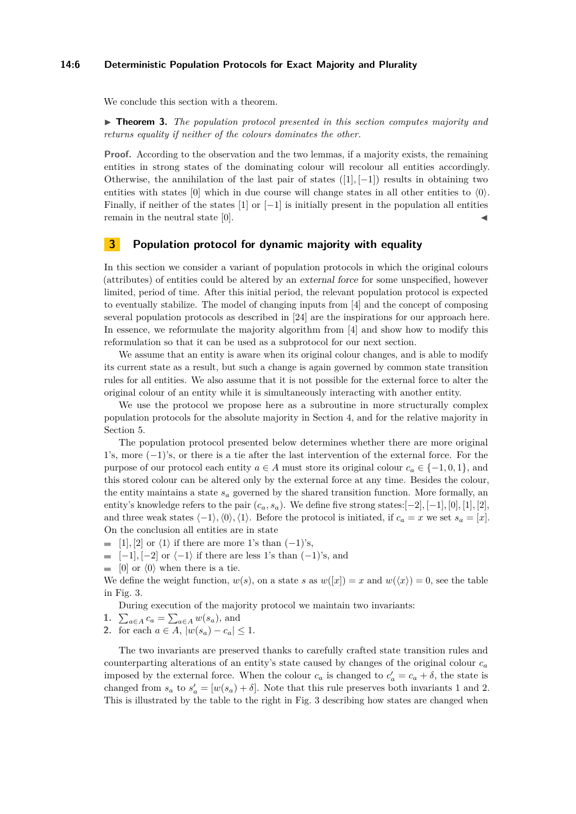#### **14:6 Deterministic Population Protocols for Exact Majority and Plurality**

We conclude this section with a theorem.

► **Theorem 3.** *The population protocol presented in this section computes majority and returns equality if neither of the colours dominates the other.*

**Proof.** According to the observation and the two lemmas, if a majority exists, the remaining entities in strong states of the dominating colour will recolour all entities accordingly. Otherwise, the annihilation of the last pair of states ([1]*,* [−1]) results in obtaining two entities with states [0] which in due course will change states in all other entities to  $\langle 0 \rangle$ . Finally, if neither of the states  $[1]$  or  $[-1]$  is initially present in the population all entities remain in the neutral state  $[0]$ .

# <span id="page-5-0"></span>**3 Population protocol for dynamic majority with equality**

In this section we consider a variant of population protocols in which the original colours (attributes) of entities could be altered by an external force for some unspecified, however limited, period of time. After this initial period, the relevant population protocol is expected to eventually stabilize. The model of changing inputs from [\[4\]](#page-12-0) and the concept of composing several population protocols as described in [\[24\]](#page-13-0) are the inspirations for our approach here. In essence, we reformulate the majority algorithm from [\[4\]](#page-12-0) and show how to modify this reformulation so that it can be used as a subprotocol for our next section.

We assume that an entity is aware when its original colour changes, and is able to modify its current state as a result, but such a change is again governed by common state transition rules for all entities. We also assume that it is not possible for the external force to alter the original colour of an entity while it is simultaneously interacting with another entity.

We use the protocol we propose here as a subroutine in more structurally complex population protocols for the absolute majority in Section [4,](#page-7-0) and for the relative majority in Section [5.](#page-9-0)

The population protocol presented below determines whether there are more original 1's, more (−1)'s, or there is a tie after the last intervention of the external force. For the purpose of our protocol each entity  $a \in A$  must store its original colour  $c_a \in \{-1, 0, 1\}$ , and this stored colour can be altered only by the external force at any time. Besides the colour, the entity maintains a state  $s_a$  governed by the shared transition function. More formally, an entity's knowledge refers to the pair  $(c_a, s_a)$ . We define five strong states: $[-2]$ ,  $[-1]$ ,  $[0]$ ,  $[1]$ ,  $[2]$ , and three weak states  $\langle -1 \rangle$ ,  $\langle 0 \rangle$ ,  $\langle 1 \rangle$ . Before the protocol is initiated, if *c<sub>a</sub>* = *x* we set *s<sub>a</sub>* = [*x*]. On the conclusion all entities are in state

- $\blacksquare$  [1], [2] or  $\langle 1 \rangle$  if there are more 1's than  $(-1)$ 's,
- $\vert -1 \rangle$ ,  $\vert -2 \vert$  or  $\langle -1 \rangle$  if there are less 1's than  $(-1)$ 's, and
- $\Box$  [0] or  $\langle 0 \rangle$  when there is a tie.

We define the weight function,  $w(s)$ , on a state *s* as  $w([x]) = x$  and  $w(\langle x \rangle) = 0$ , see the table in Fig. [3.](#page-6-0)

During execution of the majority protocol we maintain two invariants:

- **1.**  $\sum_{a \in A} c_a = \sum_{a \in A} w(s_a)$ , and
- **2.** for each  $a \in A$ ,  $|w(s_a) c_a| \leq 1$ .

The two invariants are preserved thanks to carefully crafted state transition rules and counterparting alterations of an entity's state caused by changes of the original colour *c<sup>a</sup>* imposed by the external force. When the colour  $c_a$  is changed to  $c'_a = c_a + \delta$ , the state is changed from  $s_a$  to  $s'_a = [w(s_a) + \delta]$ . Note that this rule preserves both invariants 1 and 2. This is illustrated by the table to the right in Fig. [3](#page-6-0) describing how states are changed when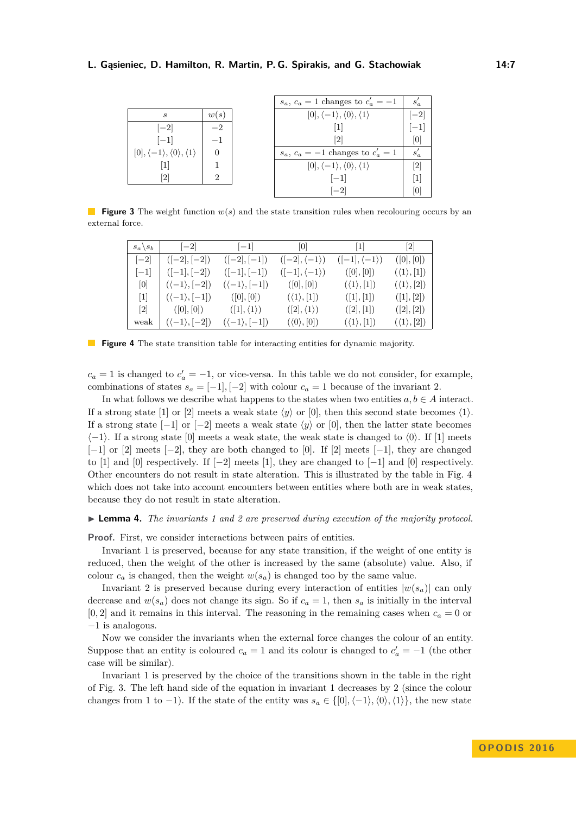#### <span id="page-6-0"></span>**L. Gąsieniec, D. Hamilton, R. Martin, P. G. Spirakis, and G. Stachowiak 14:7**

|                                                                 |          | $s_a, c_a = 1$ changes to $c'_a = -1$                           | $s_a$  |
|-----------------------------------------------------------------|----------|-----------------------------------------------------------------|--------|
| S                                                               | w(s)     | $[0], \langle -1 \rangle, \langle 0 \rangle, \langle 1 \rangle$ | $[-2]$ |
| $ -2 $                                                          | $-2$     |                                                                 |        |
| $ -1 $                                                          | $-1$     | 2                                                               | ΙUΙ    |
| $[0], \langle -1 \rangle, \langle 0 \rangle, \langle 1 \rangle$ | $\Omega$ | $s_a, c_a = -1$ changes to $c'_a = 1$                           |        |
|                                                                 |          | $[0], \langle -1 \rangle, \langle 0 \rangle, \langle 1 \rangle$ | 21     |
| 2                                                               | 2        | $ -1 $                                                          |        |
|                                                                 |          | $ -2 $                                                          |        |

<span id="page-6-1"></span>**Figure 3** The weight function  $w(s)$  and the state transition rules when recolouring occurs by an external force.

| $s_a \backslash s_b$ | $ -2 $                       | $ -1 $                       | 0                            | 1                            | $\lceil 2 \rceil$          |
|----------------------|------------------------------|------------------------------|------------------------------|------------------------------|----------------------------|
| $ -2 $               | $([-2], [-2])$               | $([-2], [-1])$               | $([-2], \langle -1 \rangle)$ | $([-1], \langle -1 \rangle)$ | ([0],[0])                  |
| $ -1 $               | $([-1], [-2])$               | $([-1], [-1])$               | $([-1], \langle -1 \rangle)$ | ([0],[0])                    | $(\langle 1 \rangle, [1])$ |
| [0]                  | $(\langle -1 \rangle,  -2 )$ | $(\langle -1 \rangle, [-1])$ | ([0],[0])                    | $(\langle 1 \rangle, [1])$   | $(\langle 1 \rangle, [2])$ |
| 1                    | $(\langle -1 \rangle,  -1 )$ | ([0],[0])                    | $(\langle 1 \rangle, [1])$   | ([1],[1])                    | ([1],[2])                  |
| 2                    | ( 0 ,  0 )                   | $([1], \langle 1 \rangle)$   | $([2], \langle 1 \rangle)$   | ([2], [1])                   | ([2],[2])                  |
| weak                 | $(\langle -1 \rangle,  -2 )$ | $(\langle -1 \rangle,  -1 )$ | $(\langle 0 \rangle, [0])$   | $(\langle 1 \rangle, [1])$   | $(\langle 1 \rangle, [2])$ |

**Figure 4** The state transition table for interacting entities for dynamic majority.

 $c_a = 1$  is changed to  $c'_a = -1$ , or vice-versa. In this table we do not consider, for example, combinations of states  $s_a = [-1]$ ,  $[-2]$  with colour  $c_a = 1$  because of the invariant 2.

In what follows we describe what happens to the states when two entities  $a, b \in A$  interact. If a strong state [1] or [2] meets a weak state  $\langle y \rangle$  or [0], then this second state becomes  $\langle 1 \rangle$ . If a strong state  $[-1]$  or  $[-2]$  meets a weak state  $\langle y \rangle$  or  $[0]$ , then the latter state becomes  $\langle -1 \rangle$ . If a strong state [0] meets a weak state, the weak state is changed to  $\langle 0 \rangle$ . If [1] meets  $[-1]$  or  $[2]$  meets  $[-2]$ , they are both changed to  $[0]$ . If  $[2]$  meets  $[-1]$ , they are changed to [1] and [0] respectively. If  $[-2]$  meets [1], they are changed to  $[-1]$  and [0] respectively. Other encounters do not result in state alteration. This is illustrated by the table in Fig. [4](#page-6-1) which does not take into account encounters between entities where both are in weak states, because they do not result in state alteration.

#### I **Lemma 4.** *The invariants 1 and 2 are preserved during execution of the majority protocol.*

**Proof.** First, we consider interactions between pairs of entities.

Invariant 1 is preserved, because for any state transition, if the weight of one entity is reduced, then the weight of the other is increased by the same (absolute) value. Also, if colour  $c_a$  is changed, then the weight  $w(s_a)$  is changed too by the same value.

Invariant 2 is preserved because during every interaction of entities  $|w(s_a)|$  can only decrease and  $w(s_a)$  does not change its sign. So if  $c_a = 1$ , then  $s_a$  is initially in the interval  $[0,2]$  and it remains in this interval. The reasoning in the remaining cases when  $c_a = 0$  or −1 is analogous.

Now we consider the invariants when the external force changes the colour of an entity. Suppose that an entity is coloured  $c_a = 1$  and its colour is changed to  $c'_a = -1$  (the other case will be similar).

Invariant 1 is preserved by the choice of the transitions shown in the table in the right of Fig. [3.](#page-6-0) The left hand side of the equation in invariant 1 decreases by 2 (since the colour changes from 1 to -1). If the state of the entity was  $s_a \in \{[0], \langle -1 \rangle, \langle 0 \rangle, \langle 1 \rangle\}$ , the new state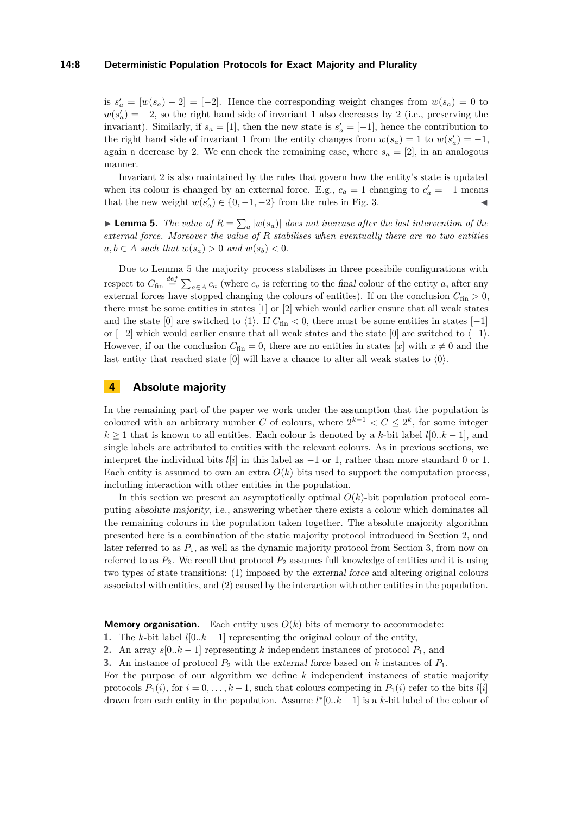#### **14:8 Deterministic Population Protocols for Exact Majority and Plurality**

is  $s'_a = [w(s_a) - 2] = [-2]$ . Hence the corresponding weight changes from  $w(s_a) = 0$  to  $w(s'_a) = -2$ , so the right hand side of invariant 1 also decreases by 2 (i.e., preserving the invariant). Similarly, if  $s_a = [1]$ , then the new state is  $s'_a = [-1]$ , hence the contribution to the right hand side of invariant 1 from the entity changes from  $w(s_a) = 1$  to  $w(s'_a) = -1$ , again a decrease by 2. We can check the remaining case, where  $s_a = [2]$ , in an analogous manner.

Invariant 2 is also maintained by the rules that govern how the entity's state is updated when its colour is changed by an external force. E.g.,  $c_a = 1$  changing to  $c'_a = -1$  means that the new weight  $w(s'_a) \in \{0, -1, -2\}$  from the rules in Fig. [3.](#page-6-0)

<span id="page-7-1"></span>**Lemma 5.** *The value of*  $R = \sum_{a} |w(s_a)|$  *does not increase after the last intervention of the external force. Moreover the value of R stabilises when eventually there are no two entities*  $a, b \in A$  *such that*  $w(s_a) > 0$  *and*  $w(s_b) < 0$ .

Due to Lemma [5](#page-7-1) the majority process stabilises in three possibile configurations with respect to  $C_{fin} \stackrel{def}{=} \sum_{a \in A} c_a$  (where  $c_a$  is referring to the final colour of the entity *a*, after any external forces have stopped changing the colours of entities). If on the conclusion  $C_{fin} > 0$ , there must be some entities in states [1] or [2] which would earlier ensure that all weak states and the state [0] are switched to  $\langle 1 \rangle$ . If  $C_{fin} < 0$ , there must be some entities in states [-1] or  $[-2]$  which would earlier ensure that all weak states and the state  $[0]$  are switched to  $\langle -1 \rangle$ . However, if on the conclusion  $C_{fin} = 0$ , there are no entities in states [*x*] with  $x \neq 0$  and the last entity that reached state [0] will have a chance to alter all weak states to  $\langle 0 \rangle$ .

# <span id="page-7-0"></span>**4 Absolute majority**

In the remaining part of the paper we work under the assumption that the population is coloured with an arbitrary number *C* of colours, where  $2^{k-1} < C \leq 2^k$ , for some integer  $k \geq 1$  that is known to all entities. Each colour is denoted by a *k*-bit label *l*[0*..k* – 1], and single labels are attributed to entities with the relevant colours. As in previous sections, we interpret the individual bits  $l[i]$  in this label as  $-1$  or 1, rather than more standard 0 or 1. Each entity is assumed to own an extra  $O(k)$  bits used to support the computation process, including interaction with other entities in the population.

In this section we present an asymptotically optimal  $O(k)$ -bit population protocol computing absolute majority, i.e., answering whether there exists a colour which dominates all the remaining colours in the population taken together. The absolute majority algorithm presented here is a combination of the static majority protocol introduced in Section [2,](#page-3-0) and later referred to as  $P_1$ , as well as the dynamic majority protocol from Section [3,](#page-5-0) from now on referred to as  $P_2$ . We recall that protocol  $P_2$  assumes full knowledge of entities and it is using two types of state transitions: (1) imposed by the external force and altering original colours associated with entities, and (2) caused by the interaction with other entities in the population.

**Memory organisation.** Each entity uses  $O(k)$  bits of memory to accommodate:

- **1.** The *k*-bit label  $l[0..k-1]$  representing the original colour of the entity,
- **2.** An array  $s[0..k-1]$  representing k independent instances of protocol  $P_1$ , and

**3.** An instance of protocol  $P_2$  with the external force based on k instances of  $P_1$ .

For the purpose of our algorithm we define *k* independent instances of static majority protocols  $P_1(i)$ , for  $i = 0, \ldots, k - 1$ , such that colours competing in  $P_1(i)$  refer to the bits  $l[i]$ drawn from each entity in the population. Assume  $l^{*}[0..k-1]$  is a k-bit label of the colour of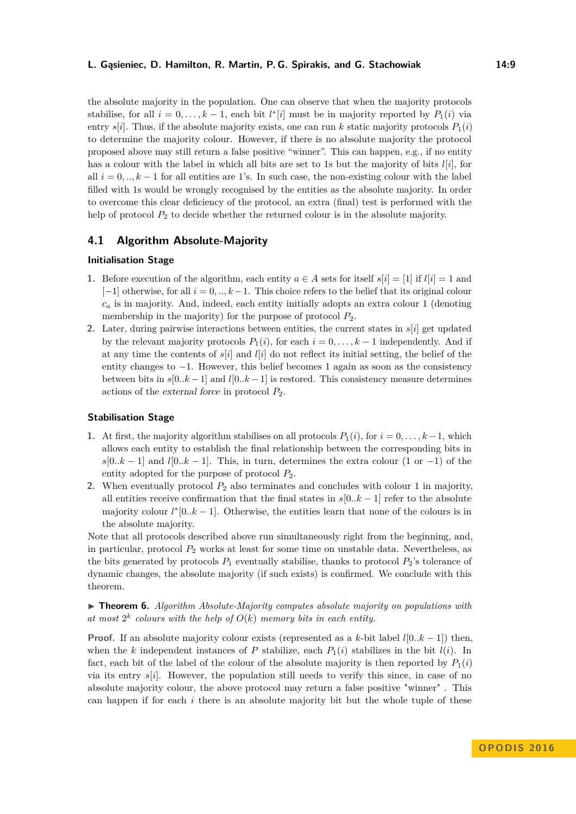#### **L. Gąsieniec, D. Hamilton, R. Martin, P. G. Spirakis, and G. Stachowiak 14:9**

the absolute majority in the population. One can observe that when the majority protocols stabilise, for all  $i = 0, \ldots, k - 1$ , each bit  $l^*[i]$  must be in majority reported by  $P_1(i)$  via entry  $s[i]$ . Thus, if the absolute majority exists, one can run k static majority protocols  $P_1(i)$ to determine the majority colour. However, if there is no absolute majority the protocol proposed above may still return a false positive "winner". This can happen, e.g., if no entity has a colour with the label in which all bits are set to 1s but the majority of bits *l*[*i*]*,* for all  $i = 0, \ldots, k - 1$  for all entities are 1's. In such case, the non-existing colour with the label filled with 1s would be wrongly recognised by the entities as the absolute majority. In order to overcome this clear deficiency of the protocol, an extra (final) test is performed with the help of protocol  $P_2$  to decide whether the returned colour is in the absolute majority.

# **4.1 Algorithm Absolute-Majority**

#### **Initialisation Stage**

- **1.** Before execution of the algorithm, each entity  $a \in A$  sets for itself  $s[i] = [1]$  if  $l[i] = 1$  and [−1] otherwise, for all *i* = 0*, .., k*−1. This choice refers to the belief that its original colour  $c_a$  is in majority. And, indeed, each entity initially adopts an extra colour 1 (denoting membership in the majority) for the purpose of protocol  $P_2$ .
- **2.** Later, during pairwise interactions between entities, the current states in *s*[*i*] get updated by the relevant majority protocols  $P_1(i)$ , for each  $i = 0, \ldots, k-1$  independently. And if at any time the contents of  $s[i]$  and  $l[i]$  do not reflect its initial setting, the belief of the entity changes to −1. However, this belief becomes 1 again as soon as the consistency between bits in  $s[0..k-1]$  and  $l[0..k-1]$  is restored. This consistency measure determines actions of the external force in protocol *P*2.

#### **Stabilisation Stage**

- **1.** At first, the majority algorithm stabilises on all protocols  $P_1(i)$ , for  $i = 0, \ldots, k-1$ , which allows each entity to establish the final relationship between the corresponding bits in  $s[0..k-1]$  and  $l[0..k-1]$ . This, in turn, determines the extra colour (1 or -1) of the entity adopted for the purpose of protocol *P*2.
- **2.** When eventually protocol  $P_2$  also terminates and concludes with colour 1 in majority, all entities receive confirmation that the final states in *s*[0*..k* − 1] refer to the absolute majority colour  $l^*[0..k-1]$ . Otherwise, the entities learn that none of the colours is in the absolute majority.

Note that all protocols described above run simultaneously right from the beginning, and, in particular, protocol *P*<sup>2</sup> works at least for some time on unstable data. Nevertheless, as the bits generated by protocols  $P_1$  eventually stabilise, thanks to protocol  $P_2$ 's tolerance of dynamic changes, the absolute majority (if such exists) is confirmed. We conclude with this theorem.

▶ **Theorem 6.** *Algorithm Absolute-Majority computes absolute majority on populations with* at most  $2^k$  colours with the help of  $O(k)$  memory bits in each entity.

**Proof.** If an absolute majority colour exists (represented as a *k*-bit label  $l[0..k-1]$ ) then, when the *k* independent instances of *P* stabilize, each  $P_1(i)$  stabilizes in the bit  $l(i)$ . In fact, each bit of the label of the colour of the absolute majority is then reported by  $P_1(i)$ via its entry *s*[*i*]. However, the population still needs to verify this since, in case of no absolute majority colour, the above protocol may return a false positive "winner" . This can happen if for each *i* there is an absolute majority bit but the whole tuple of these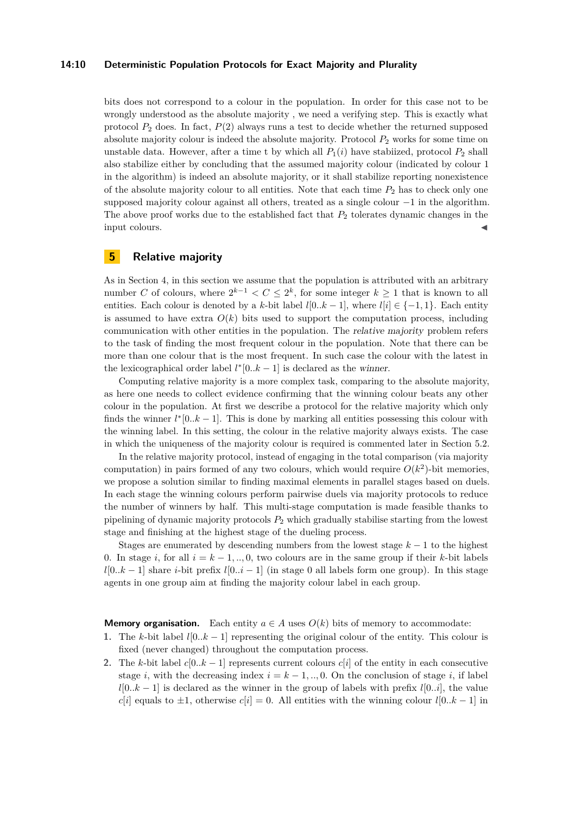#### **14:10 Deterministic Population Protocols for Exact Majority and Plurality**

bits does not correspond to a colour in the population. In order for this case not to be wrongly understood as the absolute majority , we need a verifying step. This is exactly what protocol  $P_2$  does. In fact,  $P(2)$  always runs a test to decide whether the returned supposed absolute majority colour is indeed the absolute majority. Protocol  $P_2$  works for some time on unstable data. However, after a time t by which all  $P_1(i)$  have stabiized, protocol  $P_2$  shall also stabilize either by concluding that the assumed majority colour (indicated by colour 1 in the algorithm) is indeed an absolute majority, or it shall stabilize reporting nonexistence of the absolute majority colour to all entities. Note that each time  $P_2$  has to check only one supposed majority colour against all others, treated as a single colour −1 in the algorithm. The above proof works due to the established fact that *P*<sup>2</sup> tolerates dynamic changes in the input colours.

# <span id="page-9-0"></span>**5 Relative majority**

As in Section [4,](#page-7-0) in this section we assume that the population is attributed with an arbitrary number *C* of colours, where  $2^{k-1} < C \leq 2^k$ , for some integer  $k \geq 1$  that is known to all entities. Each colour is denoted by a *k*-bit label  $l[0..k-1]$ , where  $l[i] \in \{-1,1\}$ . Each entity is assumed to have extra  $O(k)$  bits used to support the computation process, including communication with other entities in the population. The relative majority problem refers to the task of finding the most frequent colour in the population. Note that there can be more than one colour that is the most frequent. In such case the colour with the latest in the lexicographical order label  $l^*[0..k-1]$  is declared as the winner.

Computing relative majority is a more complex task, comparing to the absolute majority, as here one needs to collect evidence confirming that the winning colour beats any other colour in the population. At first we describe a protocol for the relative majority which only finds the winner  $l^*[0..k-1]$ . This is done by marking all entities possessing this colour with the winning label. In this setting, the colour in the relative majority always exists. The case in which the uniqueness of the majority colour is required is commented later in Section [5.2.](#page-11-1)

In the relative majority protocol, instead of engaging in the total comparison (via majority computation) in pairs formed of any two colours, which would require  $O(k^2)$ -bit memories, we propose a solution similar to finding maximal elements in parallel stages based on duels. In each stage the winning colours perform pairwise duels via majority protocols to reduce the number of winners by half. This multi-stage computation is made feasible thanks to pipelining of dynamic majority protocols *P*<sup>2</sup> which gradually stabilise starting from the lowest stage and finishing at the highest stage of the dueling process.

Stages are enumerated by descending numbers from the lowest stage  $k - 1$  to the highest 0. In stage *i*, for all  $i = k - 1, ..., 0$ , two colours are in the same group if their *k*-bit labels  $l[0..k-1]$  share *i*-bit prefix  $l[0..i-1]$  (in stage 0 all labels form one group). In this stage agents in one group aim at finding the majority colour label in each group.

**Memory organisation.** Each entity  $a \in A$  uses  $O(k)$  bits of memory to accommodate:

- **1.** The *k*-bit label *l*[0*..k* − 1] representing the original colour of the entity. This colour is fixed (never changed) throughout the computation process.
- **2.** The *k*-bit label  $c[0..k-1]$  represents current colours  $c[i]$  of the entity in each consecutive stage *i*, with the decreasing index  $i = k - 1, ..., 0$ . On the conclusion of stage *i*, if label  $l[0..k-1]$  is declared as the winner in the group of labels with prefix  $l[0..i]$ , the value *c*[*i*] equals to  $\pm 1$ , otherwise *c*[*i*] = 0. All entities with the winning colour *l*[0*..k* − 1] in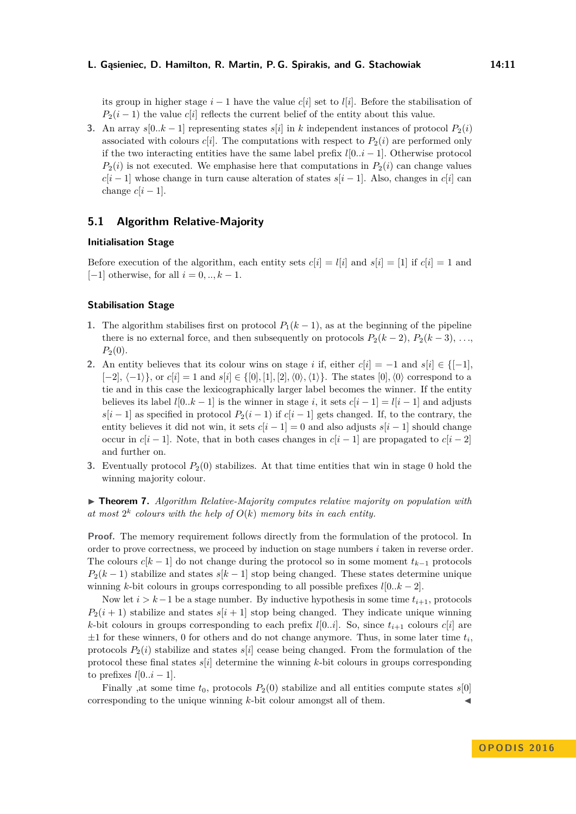its group in higher stage  $i-1$  have the value  $c[i]$  set to  $l[i]$ . Before the stabilisation of  $P_2(i-1)$  the value *c*[*i*] reflects the current belief of the entity about this value.

**3.** An array  $s[0..k-1]$  representing states  $s[i]$  in *k* independent instances of protocol  $P_2(i)$ associated with colours  $c[i]$ . The computations with respect to  $P_2(i)$  are performed only if the two interacting entities have the same label prefix  $l[0..i-1]$ . Otherwise protocol  $P_2(i)$  is not executed. We emphasise here that computations in  $P_2(i)$  can change values  $c[i - 1]$  whose change in turn cause alteration of states  $s[i - 1]$ . Also, changes in  $c[i]$  can change  $c[i-1]$ .

# **5.1 Algorithm Relative-Majority**

#### **Initialisation Stage**

Before execution of the algorithm, each entity sets  $c[i] = l[i]$  and  $s[i] = [1]$  if  $c[i] = 1$  and [−1] otherwise, for all *i* = 0*, .., k* − 1.

## **Stabilisation Stage**

- **1.** The algorithm stabilises first on protocol  $P_1(k-1)$ , as at the beginning of the pipeline there is no external force, and then subsequently on protocols  $P_2(k-2)$ ,  $P_2(k-3)$ , ...  $P_2(0)$ .
- 2. An entity believes that its colour wins on stage *i* if, either  $c[i] = -1$  and  $s[i] \in \{[-1],$  $[-2], \langle -1 \rangle$ , or  $c[i] = 1$  and  $s[i] \in \{[0], [1], [2], \langle 0 \rangle, \langle 1 \rangle\}$ . The states  $[0], \langle 0 \rangle$  correspond to a tie and in this case the lexicographically larger label becomes the winner. If the entity believes its label  $l[0..k-1]$  is the winner in stage *i*, it sets  $c[i-1] = l[i-1]$  and adjusts  $s[i - 1]$  as specified in protocol  $P_2(i - 1)$  if  $c[i - 1]$  gets changed. If, to the contrary, the entity believes it did not win, it sets  $c[i - 1] = 0$  and also adjusts  $s[i - 1]$  should change occur in  $c[i-1]$ . Note, that in both cases changes in  $c[i-1]$  are propagated to  $c[i-2]$ and further on.
- **3.** Eventually protocol  $P_2(0)$  stabilizes. At that time entities that win in stage 0 hold the winning majority colour.

I **Theorem 7.** *Algorithm Relative-Majority computes relative majority on population with* at most  $2^k$  colours with the help of  $O(k)$  memory bits in each entity.

**Proof.** The memory requirement follows directly from the formulation of the protocol. In order to prove correctness, we proceed by induction on stage numbers *i* taken in reverse order. The colours  $c[k-1]$  do not change during the protocol so in some moment  $t_{k-1}$  protocols  $P_2(k-1)$  stabilize and states *s*[ $k-1$ ] stop being changed. These states determine unique winning *k*-bit colours in groups corresponding to all possible prefixes  $l[0..k-2]$ .

Now let  $i > k-1$  be a stage number. By inductive hypothesis in some time  $t_{i+1}$ , protocols  $P_2(i+1)$  stabilize and states  $s[i+1]$  stop being changed. They indicate unique winning *k*-bit colours in groups corresponding to each prefix *l*[0*..i*]. So, since  $t_{i+1}$  colours  $c[i]$  are  $\pm 1$  for these winners, 0 for others and do not change anymore. Thus, in some later time  $t_i$ , protocols  $P_2(i)$  stabilize and states  $s[i]$  cease being changed. From the formulation of the protocol these final states  $s[i]$  determine the winning  $k$ -bit colours in groups corresponding to prefixes  $l[0..i-1]$ .

Finally ,at some time  $t_0$ , protocols  $P_2(0)$  stabilize and all entities compute states  $s[0]$ corresponding to the unique winning  $k$ -bit colour amongst all of them.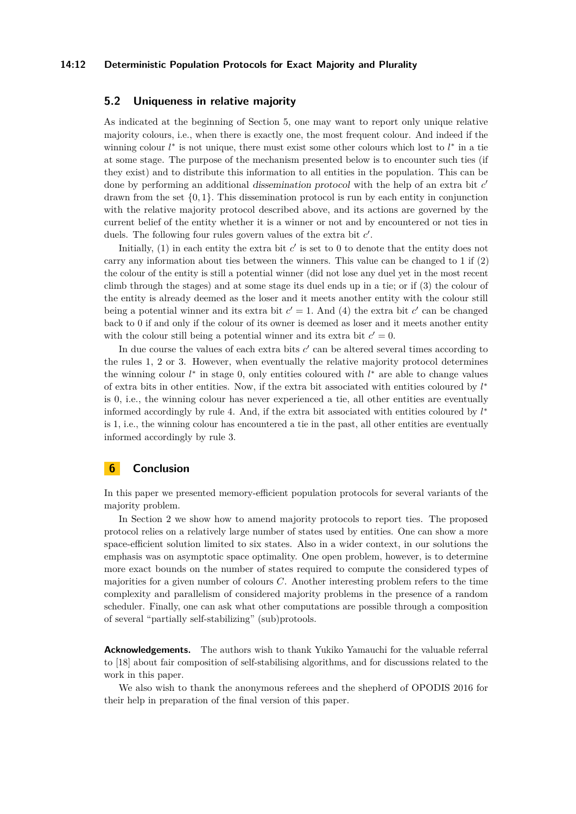#### **14:12 Deterministic Population Protocols for Exact Majority and Plurality**

## <span id="page-11-1"></span>**5.2 Uniqueness in relative majority**

As indicated at the beginning of Section [5,](#page-9-0) one may want to report only unique relative majority colours, i.e., when there is exactly one, the most frequent colour. And indeed if the winning colour *l*<sup>\*</sup> is not unique, there must exist some other colours which lost to *l*<sup>\*</sup> in a tie at some stage. The purpose of the mechanism presented below is to encounter such ties (if they exist) and to distribute this information to all entities in the population. This can be done by performing an additional *dissemination protocol* with the help of an extra bit *c*<sup>*'*</sup> drawn from the set {0*,* 1}*.* This dissemination protocol is run by each entity in conjunction with the relative majority protocol described above, and its actions are governed by the current belief of the entity whether it is a winner or not and by encountered or not ties in duels. The following four rules govern values of the extra bit  $c'$ .

Initially,  $(1)$  in each entity the extra bit  $c'$  is set to 0 to denote that the entity does not carry any information about ties between the winners. This value can be changed to 1 if (2) the colour of the entity is still a potential winner (did not lose any duel yet in the most recent climb through the stages) and at some stage its duel ends up in a tie; or if (3) the colour of the entity is already deemed as the loser and it meets another entity with the colour still being a potential winner and its extra bit  $c' = 1$ . And (4) the extra bit  $c'$  can be changed back to 0 if and only if the colour of its owner is deemed as loser and it meets another entity with the colour still being a potential winner and its extra bit  $c' = 0$ .

In due course the values of each extra bits  $c'$  can be altered several times according to the rules 1, 2 or 3. However, when eventually the relative majority protocol determines the winning colour *l* ∗ in stage 0, only entities coloured with *l* <sup>∗</sup> are able to change values of extra bits in other entities. Now, if the extra bit associated with entities coloured by *l* ∗ is 0, i.e., the winning colour has never experienced a tie, all other entities are eventually informed accordingly by rule 4. And, if the extra bit associated with entities coloured by *l* ∗ is 1, i.e., the winning colour has encountered a tie in the past, all other entities are eventually informed accordingly by rule 3.

## <span id="page-11-0"></span>**6 Conclusion**

In this paper we presented memory-efficient population protocols for several variants of the majority problem.

In Section [2](#page-3-0) we show how to amend majority protocols to report ties. The proposed protocol relies on a relatively large number of states used by entities. One can show a more space-efficient solution limited to six states. Also in a wider context, in our solutions the emphasis was on asymptotic space optimality. One open problem, however, is to determine more exact bounds on the number of states required to compute the considered types of majorities for a given number of colours *C*. Another interesting problem refers to the time complexity and parallelism of considered majority problems in the presence of a random scheduler. Finally, one can ask what other computations are possible through a composition of several "partially self-stabilizing" (sub)protools.

**Acknowledgements.** The authors wish to thank Yukiko Yamauchi for the valuable referral to [\[18\]](#page-12-17) about fair composition of self-stabilising algorithms, and for discussions related to the work in this paper.

We also wish to thank the anonymous referees and the shepherd of OPODIS 2016 for their help in preparation of the final version of this paper.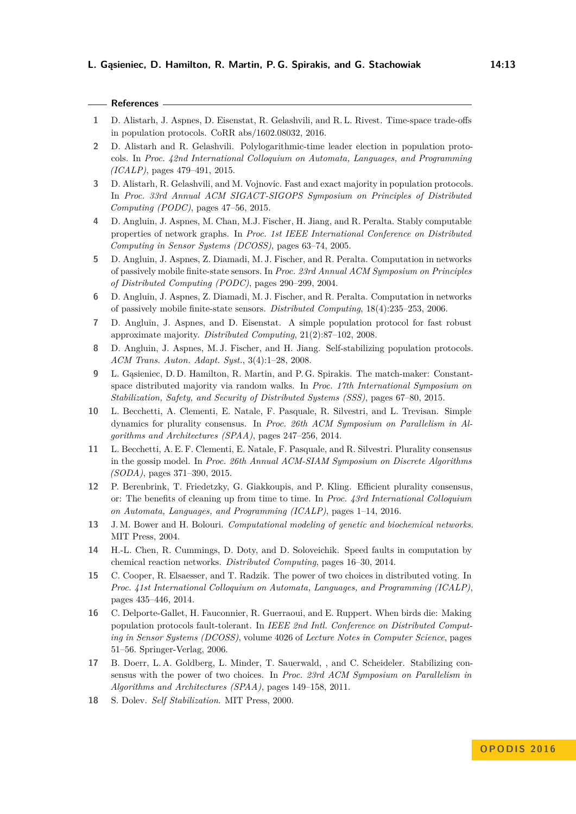|  |  | w<br>I |
|--|--|--------|
|  |  |        |

- <span id="page-12-6"></span>**1** D. Alistarh, J. Aspnes, D. Eisenstat, R. Gelashvili, and R. L. Rivest. Time-space trade-offs in population protocols. CoRR abs/1602.08032, 2016.
- <span id="page-12-5"></span>**2** D. Alistarh and R. Gelashvili. Polylogarithmic-time leader election in population protocols. In *Proc. 42nd International Colloquium on Automata, Languages, and Programming (ICALP)*, pages 479–491, 2015.
- <span id="page-12-11"></span>**3** D. Alistarh, R. Gelashvili, and M. Vojnovic. Fast and exact majority in population protocols. In *Proc. 33rd Annual ACM SIGACT-SIGOPS Symposium on Principles of Distributed Computing (PODC)*, pages 47–56, 2015.
- <span id="page-12-0"></span>**4** D. Angluin, J. Aspnes, M. Chan, M.J. Fischer, H. Jiang, and R. Peralta. Stably computable properties of network graphs. In *Proc. 1st IEEE International Conference on Distributed Computing in Sensor Systems (DCOSS)*, pages 63–74, 2005.
- <span id="page-12-1"></span>**5** D. Angluin, J. Aspnes, Z. Diamadi, M. J. Fischer, and R. Peralta. Computation in networks of passively mobile finite-state sensors. In *Proc. 23rd Annual ACM Symposium on Principles of Distributed Computing (PODC)*, pages 290–299, 2004.
- <span id="page-12-3"></span>**6** D. Angluin, J. Aspnes, Z. Diamadi, M. J. Fischer, and R. Peralta. Computation in networks of passively mobile finite-state sensors. *Distributed Computing*, 18(4):235–253, 2006.
- <span id="page-12-2"></span>**7** D. Angluin, J. Aspnes, and D. Eisenstat. A simple population protocol for fast robust approximate majority. *Distributed Computing*, 21(2):87–102, 2008.
- <span id="page-12-7"></span>**8** D. Angluin, J. Aspnes, M. J. Fischer, and H. Jiang. Self-stabilizing population protocols. *ACM Trans. Auton. Adapt. Syst.*, 3(4):1–28, 2008.
- <span id="page-12-4"></span>**9** L. Gąsieniec, D. D. Hamilton, R. Martin, and P. G. Spirakis. The match-maker: Constantspace distributed majority via random walks. In *Proc. 17th International Symposium on Stabilization, Safety, and Security of Distributed Systems (SSS)*, pages 67–80, 2015.
- <span id="page-12-14"></span>**10** L. Becchetti, A. Clementi, E. Natale, F. Pasquale, R. Silvestri, and L. Trevisan. Simple dynamics for plurality consensus. In *Proc. 26th ACM Symposium on Parallelism in Algorithms and Architectures (SPAA)*, pages 247–256, 2014.
- <span id="page-12-15"></span>**11** L. Becchetti, A. E. F. Clementi, E. Natale, F. Pasquale, and R. Silvestri. Plurality consensus in the gossip model. In *Proc. 26th Annual ACM-SIAM Symposium on Discrete Algorithms (SODA)*, pages 371–390, 2015.
- <span id="page-12-16"></span>**12** P. Berenbrink, T. Friedetzky, G. Giakkoupis, and P. Kling. Efficient plurality consensus, or: The benefits of cleaning up from time to time. In *Proc. 43rd International Colloquium on Automata, Languages, and Programming (ICALP)*, pages 1–14, 2016.
- <span id="page-12-10"></span>**13** J. M. Bower and H. Bolouri. *Computational modeling of genetic and biochemical networks*. MIT Press, 2004.
- <span id="page-12-9"></span>**14** H.-L. Chen, R. Cummings, D. Doty, and D. Soloveichik. Speed faults in computation by chemical reaction networks. *Distributed Computing*, pages 16–30, 2014.
- <span id="page-12-13"></span>**15** C. Cooper, R. Elsaesser, and T. Radzik. The power of two choices in distributed voting. In *Proc. 41st International Colloquium on Automata, Languages, and Programming (ICALP)*, pages 435–446, 2014.
- <span id="page-12-8"></span>**16** C. Delporte-Gallet, H. Fauconnier, R. Guerraoui, and E. Ruppert. When birds die: Making population protocols fault-tolerant. In *IEEE 2nd Intl. Conference on Distributed Computing in Sensor Systems (DCOSS)*, volume 4026 of *Lecture Notes in Computer Science*, pages 51–56. Springer-Verlag, 2006.
- <span id="page-12-12"></span>**17** B. Doerr, L. A. Goldberg, L. Minder, T. Sauerwald, , and C. Scheideler. Stabilizing consensus with the power of two choices. In *Proc. 23rd ACM Symposium on Parallelism in Algorithms and Architectures (SPAA)*, pages 149–158, 2011.
- <span id="page-12-17"></span>**18** S. Dolev. *Self Stabilization*. MIT Press, 2000.